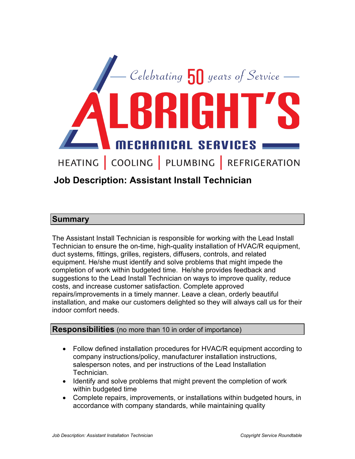

# **Job Description: Assistant Install Technician**

# **Summary**

The Assistant Install Technician is responsible for working with the Lead Install Technician to ensure the on-time, high-quality installation of HVAC/R equipment, duct systems, fittings, grilles, registers, diffusers, controls, and related equipment. He/she must identify and solve problems that might impede the completion of work within budgeted time. He/she provides feedback and suggestions to the Lead Install Technician on ways to improve quality, reduce costs, and increase customer satisfaction. Complete approved repairs/improvements in a timely manner. Leave a clean, orderly beautiful installation, and make our customers delighted so they will always call us for their indoor comfort needs.

## **Responsibilities** (no more than 10 in order of importance)

- Follow defined installation procedures for HVAC/R equipment according to company instructions/policy, manufacturer installation instructions, salesperson notes, and per instructions of the Lead Installation Technician.
- Identify and solve problems that might prevent the completion of work within budgeted time
- Complete repairs, improvements, or installations within budgeted hours, in accordance with company standards, while maintaining quality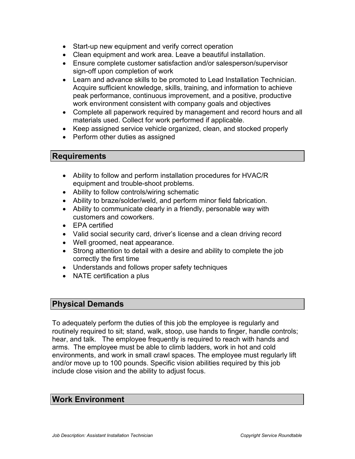- Start-up new equipment and verify correct operation
- Clean equipment and work area. Leave a beautiful installation.
- Ensure complete customer satisfaction and/or salesperson/supervisor sign-off upon completion of work
- Learn and advance skills to be promoted to Lead Installation Technician. Acquire sufficient knowledge, skills, training, and information to achieve peak performance, continuous improvement, and a positive, productive work environment consistent with company goals and objectives
- Complete all paperwork required by management and record hours and all materials used. Collect for work performed if applicable.
- Keep assigned service vehicle organized, clean, and stocked properly
- Perform other duties as assigned

#### **Requirements**

- Ability to follow and perform installation procedures for HVAC/R equipment and trouble-shoot problems.
- Ability to follow controls/wiring schematic
- Ability to braze/solder/weld, and perform minor field fabrication.
- Ability to communicate clearly in a friendly, personable way with customers and coworkers.
- EPA certified
- Valid social security card, driver's license and a clean driving record
- Well groomed, neat appearance.
- Strong attention to detail with a desire and ability to complete the job correctly the first time
- Understands and follows proper safety techniques
- NATE certification a plus

# **Physical Demands**

To adequately perform the duties of this job the employee is regularly and routinely required to sit; stand, walk, stoop, use hands to finger, handle controls; hear, and talk. The employee frequently is required to reach with hands and arms. The employee must be able to climb ladders, work in hot and cold environments, and work in small crawl spaces. The employee must regularly lift and/or move up to 100 pounds. Specific vision abilities required by this job include close vision and the ability to adjust focus.

## **Work Environment**